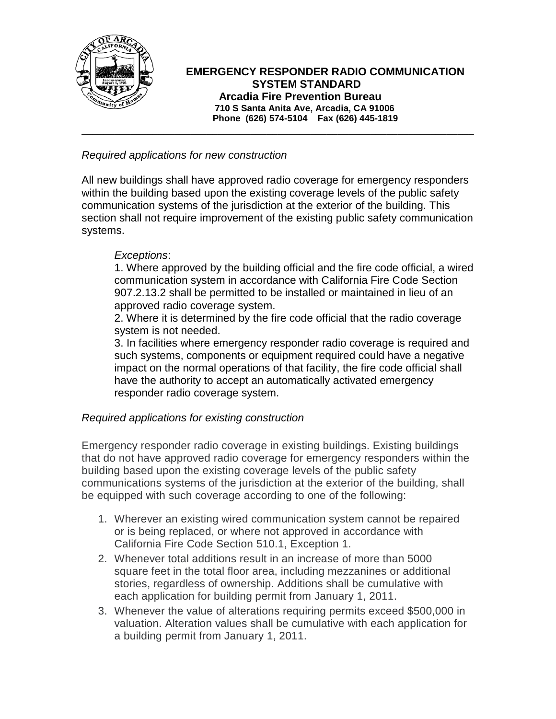

# **EMERGENCY RESPONDER RADIO COMMUNICATION SYSTEM STANDARD Arcadia Fire Prevention Bureau 710 S Santa Anita Ave, Arcadia, CA 91006 Phone (626) 574-5104 Fax (626) 445-1819**

#### *Required applications for new construction*

All new buildings shall have approved radio coverage for emergency responders within the building based upon the existing coverage levels of the public safety communication systems of the jurisdiction at the exterior of the building. This section shall not require improvement of the existing public safety communication systems.

\_\_\_\_\_\_\_\_\_\_\_\_\_\_\_\_\_\_\_\_\_\_\_\_\_\_\_\_\_\_\_\_\_\_\_\_\_\_\_\_\_\_\_\_\_\_\_\_\_\_\_\_\_\_\_\_\_\_\_\_\_\_\_\_\_\_\_\_\_\_\_\_

## *Exceptions*:

1. Where approved by the building official and the fire code official, a wired communication system in accordance with California Fire Code Section 907.2.13.2 shall be permitted to be installed or maintained in lieu of an approved radio coverage system.

2. Where it is determined by the fire code official that the radio coverage system is not needed.

3. In facilities where emergency responder radio coverage is required and such systems, components or equipment required could have a negative impact on the normal operations of that facility, the fire code official shall have the authority to accept an automatically activated emergency responder radio coverage system.

## *Required applications for existing construction*

Emergency responder radio coverage in existing buildings. Existing buildings that do not have approved radio coverage for emergency responders within the building based upon the existing coverage levels of the public safety communications systems of the jurisdiction at the exterior of the building, shall be equipped with such coverage according to one of the following:

- 1. Wherever an existing wired communication system cannot be repaired or is being replaced, or where not approved in accordance with California Fire Code Section 510.1, Exception 1.
- 2. Whenever total additions result in an increase of more than 5000 square feet in the total floor area, including mezzanines or additional stories, regardless of ownership. Additions shall be cumulative with each application for building permit from January 1, 2011.
- 3. Whenever the value of alterations requiring permits exceed \$500,000 in valuation. Alteration values shall be cumulative with each application for a building permit from January 1, 2011.